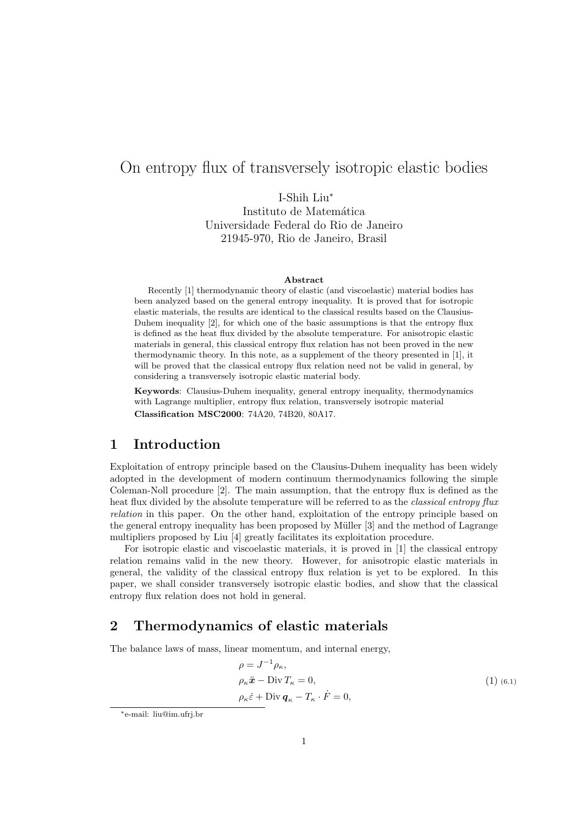# On entropy flux of transversely isotropic elastic bodies

I-Shih Liu<sup>∗</sup> Instituto de Matemática Universidade Federal do Rio de Janeiro 21945-970, Rio de Janeiro, Brasil

#### Abstract

Recently [1] thermodynamic theory of elastic (and viscoelastic) material bodies has been analyzed based on the general entropy inequality. It is proved that for isotropic elastic materials, the results are identical to the classical results based on the Clausius-Duhem inequality [2], for which one of the basic assumptions is that the entropy flux is defined as the heat flux divided by the absolute temperature. For anisotropic elastic materials in general, this classical entropy flux relation has not been proved in the new thermodynamic theory. In this note, as a supplement of the theory presented in [1], it will be proved that the classical entropy flux relation need not be valid in general, by considering a transversely isotropic elastic material body.

Keywords: Clausius-Duhem inequality, general entropy inequality, thermodynamics with Lagrange multiplier, entropy flux relation, transversely isotropic material Classification MSC2000: 74A20, 74B20, 80A17.

# 1 Introduction

Exploitation of entropy principle based on the Clausius-Duhem inequality has been widely adopted in the development of modern continuum thermodynamics following the simple Coleman-Noll procedure [2]. The main assumption, that the entropy flux is defined as the heat flux divided by the absolute temperature will be referred to as the *classical entropy flux* relation in this paper. On the other hand, exploitation of the entropy principle based on the general entropy inequality has been proposed by M¨uller [3] and the method of Lagrange multipliers proposed by Liu [4] greatly facilitates its exploitation procedure.

For isotropic elastic and viscoelastic materials, it is proved in [1] the classical entropy relation remains valid in the new theory. However, for anisotropic elastic materials in general, the validity of the classical entropy flux relation is yet to be explored. In this paper, we shall consider transversely isotropic elastic bodies, and show that the classical entropy flux relation does not hold in general.

# 2 Thermodynamics of elastic materials

The balance laws of mass, linear momentum, and internal energy,

$$
\rho = J^{-1} \rho_{\kappa},
$$
  
\n
$$
\rho_{\kappa} \ddot{\mathbf{x}} - \text{Div} T_{\kappa} = 0,
$$
  
\n
$$
\rho_{\kappa} \dot{\varepsilon} + \text{Div} \, \mathbf{q}_{\kappa} - T_{\kappa} \cdot \dot{F} = 0,
$$
\n(1) (6.1)

<sup>∗</sup>e-mail: liu@im.ufrj.br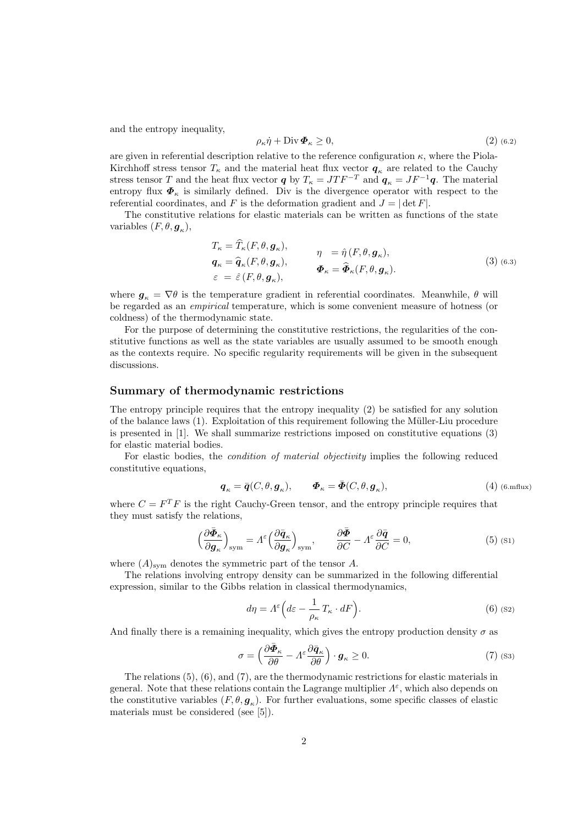and the entropy inequality,

$$
\rho_{\kappa}\dot{\eta} + \text{Div}\,\boldsymbol{\Phi}_{\kappa} \ge 0,\tag{2}
$$

are given in referential description relative to the reference configuration  $\kappa$ , where the Piola-Kirchhoff stress tensor  $T_{\kappa}$  and the material heat flux vector  $q_{\kappa}$  are related to the Cauchy stress tensor T and the heat flux vector q by  $T_{\kappa} = J T F^{-T}$  and  $q_{\kappa} = J F^{-1} q$ . The material entropy flux  $\Phi_{\kappa}$  is similarly defined. Div is the divergence operator with respect to the referential coordinates, and F is the deformation gradient and  $J = |\det F|$ .

The constitutive relations for elastic materials can be written as functions of the state variables  $(F, \theta, \mathbf{g}_{\kappa}),$ 

$$
T_{\kappa} = \widehat{T}_{\kappa}(F, \theta, \mathbf{g}_{\kappa}),
$$
  
\n
$$
\mathbf{q}_{\kappa} = \widehat{\mathbf{q}}_{\kappa}(F, \theta, \mathbf{g}_{\kappa}),
$$
  
\n
$$
\mathbf{q}_{\kappa} = \widehat{\mathbf{q}}_{\kappa}(F, \theta, \mathbf{g}_{\kappa}),
$$
  
\n
$$
\mathbf{\Phi}_{\kappa} = \widehat{\mathbf{\Phi}}_{\kappa}(F, \theta, \mathbf{g}_{\kappa}).
$$
  
\n(3) (6.3)  
\n
$$
\mathbf{\Phi}_{\kappa} = \widehat{\mathbf{\Phi}}_{\kappa}(F, \theta, \mathbf{g}_{\kappa}).
$$

where  $g_k = \nabla \theta$  is the temperature gradient in referential coordinates. Meanwhile,  $\theta$  will be regarded as an empirical temperature, which is some convenient measure of hotness (or coldness) of the thermodynamic state.

For the purpose of determining the constitutive restrictions, the regularities of the constitutive functions as well as the state variables are usually assumed to be smooth enough as the contexts require. No specific regularity requirements will be given in the subsequent discussions.

### Summary of thermodynamic restrictions

The entropy principle requires that the entropy inequality (2) be satisfied for any solution of the balance laws (1). Exploitation of this requirement following the Müller-Liu procedure is presented in [1]. We shall summarize restrictions imposed on constitutive equations (3) for elastic material bodies.

For elastic bodies, the *condition of material objectivity* implies the following reduced constitutive equations,

$$
\pmb{q}_{\kappa} = \bar{\pmb{q}}(C,\theta,\pmb{g}_{\kappa}), \qquad \pmb{\varPhi}_{\kappa} = \bar{\pmb{\Phi}}(C,\theta,\pmb{g}_{\kappa}), \qquad \qquad \text{(4) (6. mflux)}
$$

where  $C = F^T F$  is the right Cauchy-Green tensor, and the entropy principle requires that they must satisfy the relations,

$$
\left(\frac{\partial \bar{\Phi}_{\kappa}}{\partial g_{\kappa}}\right)_{\text{sym}} = A^{\varepsilon} \left(\frac{\partial \bar{q}_{\kappa}}{\partial g_{\kappa}}\right)_{\text{sym}}, \qquad \frac{\partial \bar{\Phi}}{\partial C} - A^{\varepsilon} \frac{\partial \bar{q}}{\partial C} = 0, \tag{5}
$$

where  $(A)_{sym}$  denotes the symmetric part of the tensor A.

The relations involving entropy density can be summarized in the following differential expression, similar to the Gibbs relation in classical thermodynamics,

$$
d\eta = \Lambda^{\varepsilon} \left( d\varepsilon - \frac{1}{\rho_{\kappa}} T_{\kappa} \cdot dF \right). \tag{6}
$$

And finally there is a remaining inequality, which gives the entropy production density  $\sigma$  as

$$
\sigma = \left(\frac{\partial \bar{\Phi}_{\kappa}}{\partial \theta} - A^{\varepsilon} \frac{\partial \bar{q}_{\kappa}}{\partial \theta}\right) \cdot \boldsymbol{g}_{\kappa} \ge 0. \tag{7}
$$

The relations (5), (6), and (7), are the thermodynamic restrictions for elastic materials in general. Note that these relations contain the Lagrange multiplier  $\Lambda^{\varepsilon}$ , which also depends on the constitutive variables  $(F, \theta, \mathbf{g}_{\kappa})$ . For further evaluations, some specific classes of elastic materials must be considered (see [5]).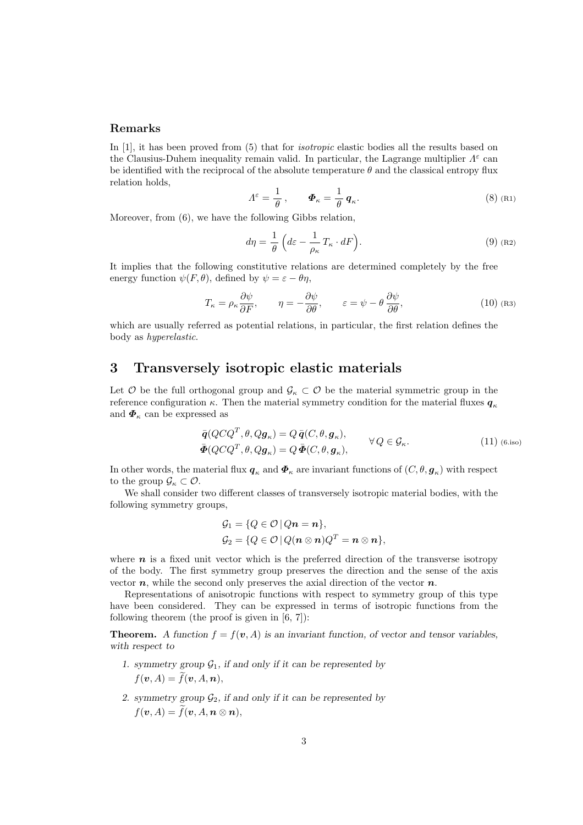#### Remarks

In [1], it has been proved from (5) that for isotropic elastic bodies all the results based on the Clausius-Duhem inequality remain valid. In particular, the Lagrange multiplier  $\Lambda^{\varepsilon}$  can be identified with the reciprocal of the absolute temperature  $\theta$  and the classical entropy flux relation holds,

$$
\Lambda^{\varepsilon} = \frac{1}{\theta}, \qquad \Phi_{\kappa} = \frac{1}{\theta} \, \mathbf{q}_{\kappa}.
$$
 (8) (R1)

Moreover, from (6), we have the following Gibbs relation,

$$
d\eta = \frac{1}{\theta} \left( d\varepsilon - \frac{1}{\rho_{\kappa}} T_{\kappa} \cdot dF \right).
$$
 (9) (R2)

It implies that the following constitutive relations are determined completely by the free energy function  $\psi(F, \theta)$ , defined by  $\psi = \varepsilon - \theta \eta$ ,

$$
T_{\kappa} = \rho_{\kappa} \frac{\partial \psi}{\partial F}, \qquad \eta = -\frac{\partial \psi}{\partial \theta}, \qquad \varepsilon = \psi - \theta \frac{\partial \psi}{\partial \theta}, \tag{10}
$$

which are usually referred as potential relations, in particular, the first relation defines the body as hyperelastic.

### 3 Transversely isotropic elastic materials

Let  $\mathcal O$  be the full orthogonal group and  $\mathcal G_\kappa \subset \mathcal O$  be the material symmetric group in the reference configuration  $\kappa$ . Then the material symmetry condition for the material fluxes  $q_{\kappa}$ and  $\boldsymbol{\Phi}_{\kappa}$  can be expressed as

$$
\begin{aligned}\n\bar{\mathbf{q}}(Q C Q^T, \theta, Q \mathbf{g}_{\kappa}) &= Q \bar{\mathbf{q}}(C, \theta, \mathbf{g}_{\kappa}), \\
\bar{\mathbf{\Phi}}(Q C Q^T, \theta, Q \mathbf{g}_{\kappa}) &= Q \bar{\mathbf{\Phi}}(C, \theta, \mathbf{g}_{\kappa}), \\
\end{aligned} \qquad \forall Q \in \mathcal{G}_{\kappa}.\n\tag{11} \tag{6.iso}
$$

In other words, the material flux  $q_{\kappa}$  and  $\bm{\varPhi}_{\kappa}$  are invariant functions of  $(C, \theta, \bm{g}_{\kappa})$  with respect to the group  $\mathcal{G}_{\kappa} \subset \mathcal{O}$ .

We shall consider two different classes of transversely isotropic material bodies, with the following symmetry groups,

$$
G_1 = \{Q \in \mathcal{O} \mid Qn = n\},
$$
  
\n
$$
G_2 = \{Q \in \mathcal{O} \mid Q(n \otimes n)Q^T = n \otimes n\},
$$

where  $n$  is a fixed unit vector which is the preferred direction of the transverse isotropy of the body. The first symmetry group preserves the direction and the sense of the axis vector  $n$ , while the second only preserves the axial direction of the vector  $n$ .

Representations of anisotropic functions with respect to symmetry group of this type have been considered. They can be expressed in terms of isotropic functions from the following theorem (the proof is given in  $[6, 7]$ ):

**Theorem.** A function  $f = f(v, A)$  is an invariant function, of vector and tensor variables, with respect to

- 1. symmetry group  $\mathcal{G}_1$ , if and only if it can be represented by  $f(\boldsymbol{v}, A) = \widetilde{f}(\boldsymbol{v}, A, \boldsymbol{n}),$
- 2. symmetry group  $\mathcal{G}_2$ , if and only if it can be represented by  $f(\boldsymbol{v}, A) = \widetilde{f}(\boldsymbol{v}, A, \boldsymbol{n} \otimes \boldsymbol{n}),$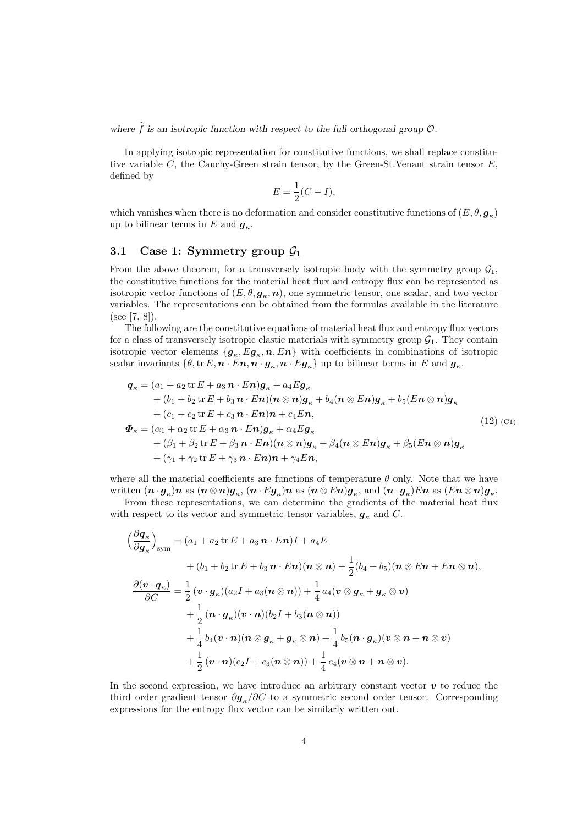where  $\tilde{f}$  is an isotropic function with respect to the full orthogonal group  $\mathcal{O}$ .

In applying isotropic representation for constitutive functions, we shall replace constitutive variable  $C$ , the Cauchy-Green strain tensor, by the Green-St.Venant strain tensor  $E$ , defined by

$$
E = \frac{1}{2}(C - I),
$$

which vanishes when there is no deformation and consider constitutive functions of  $(E, \theta, \mathbf{g}_{\kappa})$ up to bilinear terms in E and  $g_{\kappa}$ .

### 3.1 Case 1: Symmetry group  $\mathcal{G}_1$

From the above theorem, for a transversely isotropic body with the symmetry group  $\mathcal{G}_1$ , the constitutive functions for the material heat flux and entropy flux can be represented as isotropic vector functions of  $(E, \theta, \mathbf{g}_{\kappa}, \mathbf{n})$ , one symmetric tensor, one scalar, and two vector variables. The representations can be obtained from the formulas available in the literature (see [7, 8]).

The following are the constitutive equations of material heat flux and entropy flux vectors for a class of transversely isotropic elastic materials with symmetry group  $\mathcal{G}_1$ . They contain isotropic vector elements  $\{g_{\kappa}, Eg_{\kappa}, n, En\}$  with coefficients in combinations of isotropic scalar invariants  $\{\theta, \text{tr } E, n \cdot E n, n \cdot g_{\kappa}, n \cdot E g_{\kappa}\}\$ up to bilinear terms in E and  $g_{\kappa}$ .

$$
q_{\kappa} = (a_1 + a_2 \operatorname{tr} E + a_3 \mathbf{n} \cdot E \mathbf{n}) g_{\kappa} + a_4 E g_{\kappa} + (b_1 + b_2 \operatorname{tr} E + b_3 \mathbf{n} \cdot E \mathbf{n}) (\mathbf{n} \otimes \mathbf{n}) g_{\kappa} + b_4 (\mathbf{n} \otimes E \mathbf{n}) g_{\kappa} + b_5 (E \mathbf{n} \otimes \mathbf{n}) g_{\kappa} + (c_1 + c_2 \operatorname{tr} E + c_3 \mathbf{n} \cdot E \mathbf{n}) \mathbf{n} + c_4 E \mathbf{n}, \Phi_{\kappa} = (\alpha_1 + \alpha_2 \operatorname{tr} E + \alpha_3 \mathbf{n} \cdot E \mathbf{n}) g_{\kappa} + \alpha_4 E g_{\kappa} + (\beta_1 + \beta_2 \operatorname{tr} E + \beta_3 \mathbf{n} \cdot E \mathbf{n}) (\mathbf{n} \otimes \mathbf{n}) g_{\kappa} + \beta_4 (\mathbf{n} \otimes E \mathbf{n}) g_{\kappa} + \beta_5 (E \mathbf{n} \otimes \mathbf{n}) g_{\kappa} + (\gamma_1 + \gamma_2 \operatorname{tr} E + \gamma_3 \mathbf{n} \cdot E \mathbf{n}) \mathbf{n} + \gamma_4 E \mathbf{n},
$$
\n(12)

where all the material coefficients are functions of temperature  $\theta$  only. Note that we have written  $(\bm{n}\cdot\bm{g}_\kappa)\bm{n}$  as  $(\bm{n}\otimes\bm{n})\bm{g}_\kappa,$   $(\bm{n}\cdot E\bm{g}_\kappa)\bm{n}$  as  $(\bm{n}\otimes E\bm{n})\bm{g}_\kappa,$  and  $(\bm{n}\cdot\bm{g}_\kappa)E\bm{n}$  as  $(E\bm{n}\otimes\bm{n})\bm{g}_\kappa.$ 

From these representations, we can determine the gradients of the material heat flux with respect to its vector and symmetric tensor variables,  $g_{\kappa}$  and C.

$$
\left(\frac{\partial q_{\kappa}}{\partial g_{\kappa}}\right)_{\text{sym}} = (a_1 + a_2 \operatorname{tr} E + a_3 \mathbf{n} \cdot E \mathbf{n})I + a_4 E
$$
  
+ 
$$
(b_1 + b_2 \operatorname{tr} E + b_3 \mathbf{n} \cdot E \mathbf{n})(\mathbf{n} \otimes \mathbf{n}) + \frac{1}{2}(b_4 + b_5)(\mathbf{n} \otimes E \mathbf{n} + E \mathbf{n} \otimes \mathbf{n}),
$$

$$
\frac{\partial (\mathbf{v} \cdot \mathbf{q}_{\kappa})}{\partial C} = \frac{1}{2} (\mathbf{v} \cdot \mathbf{g}_{\kappa})(a_2 I + a_3(\mathbf{n} \otimes \mathbf{n})) + \frac{1}{4} a_4 (\mathbf{v} \otimes \mathbf{g}_{\kappa} + \mathbf{g}_{\kappa} \otimes \mathbf{v})
$$

$$
+ \frac{1}{2} (\mathbf{n} \cdot \mathbf{g}_{\kappa})(\mathbf{v} \cdot \mathbf{n})(b_2 I + b_3(\mathbf{n} \otimes \mathbf{n}))
$$

$$
+ \frac{1}{4} b_4 (\mathbf{v} \cdot \mathbf{n})(\mathbf{n} \otimes \mathbf{g}_{\kappa} + \mathbf{g}_{\kappa} \otimes \mathbf{n}) + \frac{1}{4} b_5 (\mathbf{n} \cdot \mathbf{g}_{\kappa})(\mathbf{v} \otimes \mathbf{n} + \mathbf{n} \otimes \mathbf{v})
$$

$$
+ \frac{1}{2} (\mathbf{v} \cdot \mathbf{n})(c_2 I + c_3(\mathbf{n} \otimes \mathbf{n})) + \frac{1}{4} c_4 (\mathbf{v} \otimes \mathbf{n} + \mathbf{n} \otimes \mathbf{v}).
$$

In the second expression, we have introduce an arbitrary constant vector  $\boldsymbol{v}$  to reduce the third order gradient tensor  $\partial g_{\kappa}/\partial C$  to a symmetric second order tensor. Corresponding expressions for the entropy flux vector can be similarly written out.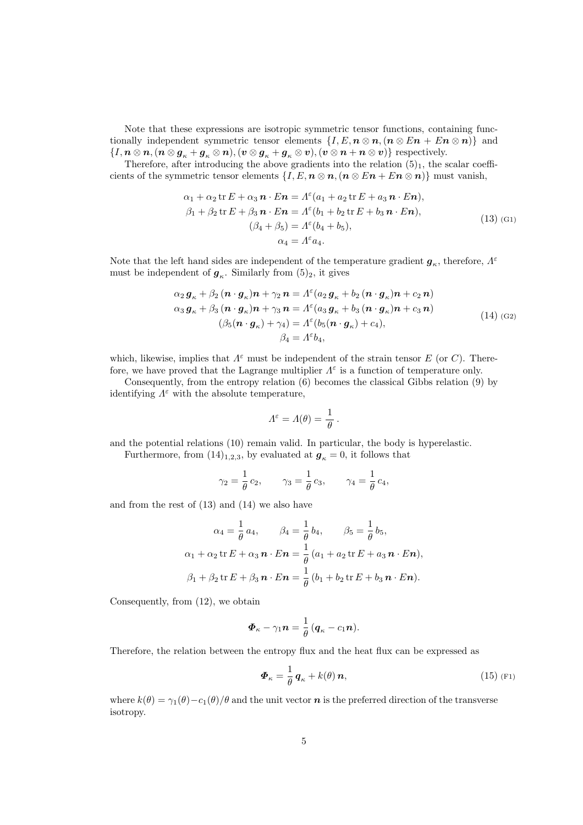Note that these expressions are isotropic symmetric tensor functions, containing functionally independent symmetric tensor elements  $\{I, E, n \otimes n, (n \otimes En + En \otimes n)\}\$  and  $\{I, n \otimes n, (n \otimes g_{\kappa} + g_{\kappa} \otimes n), (v \otimes g_{\kappa} + g_{\kappa} \otimes v), (v \otimes n + n \otimes v)\}$  respectively.

Therefore, after introducing the above gradients into the relation  $(5)_1$ , the scalar coefficients of the symmetric tensor elements  $\{I, E, n \otimes n, (n \otimes En + En \otimes n)\}\$  must vanish,

$$
\alpha_1 + \alpha_2 \operatorname{tr} E + \alpha_3 \mathbf{n} \cdot E \mathbf{n} = \Lambda^{\varepsilon} (a_1 + a_2 \operatorname{tr} E + a_3 \mathbf{n} \cdot E \mathbf{n}),
$$
  
\n
$$
\beta_1 + \beta_2 \operatorname{tr} E + \beta_3 \mathbf{n} \cdot E \mathbf{n} = \Lambda^{\varepsilon} (b_1 + b_2 \operatorname{tr} E + b_3 \mathbf{n} \cdot E \mathbf{n}),
$$
  
\n
$$
(\beta_4 + \beta_5) = \Lambda^{\varepsilon} (b_4 + b_5),
$$
  
\n
$$
\alpha_4 = \Lambda^{\varepsilon} a_4.
$$
\n(13) (G1)

Note that the left hand sides are independent of the temperature gradient  $g_{\kappa}$ , therefore,  $\Lambda^{\varepsilon}$ must be independent of  $g_{\kappa}$ . Similarly from  $(5)_2$ , it gives

$$
\alpha_2 \mathbf{g}_{\kappa} + \beta_2 (\mathbf{n} \cdot \mathbf{g}_{\kappa}) \mathbf{n} + \gamma_2 \mathbf{n} = \Lambda^{\varepsilon} (a_2 \mathbf{g}_{\kappa} + b_2 (\mathbf{n} \cdot \mathbf{g}_{\kappa}) \mathbf{n} + c_2 \mathbf{n})
$$
  
\n
$$
\alpha_3 \mathbf{g}_{\kappa} + \beta_3 (\mathbf{n} \cdot \mathbf{g}_{\kappa}) \mathbf{n} + \gamma_3 \mathbf{n} = \Lambda^{\varepsilon} (a_3 \mathbf{g}_{\kappa} + b_3 (\mathbf{n} \cdot \mathbf{g}_{\kappa}) \mathbf{n} + c_3 \mathbf{n})
$$
  
\n
$$
(\beta_5 (\mathbf{n} \cdot \mathbf{g}_{\kappa}) + \gamma_4) = \Lambda^{\varepsilon} (b_5 (\mathbf{n} \cdot \mathbf{g}_{\kappa}) + c_4),
$$
  
\n
$$
\beta_4 = \Lambda^{\varepsilon} b_4,
$$
\n(14) (G2)

which, likewise, implies that  $\Lambda^{\varepsilon}$  must be independent of the strain tensor E (or C). Therefore, we have proved that the Lagrange multiplier  $\Lambda^{\varepsilon}$  is a function of temperature only.

Consequently, from the entropy relation (6) becomes the classical Gibbs relation (9) by identifying  $\Lambda^{\varepsilon}$  with the absolute temperature,

$$
\Lambda^{\varepsilon} = \Lambda(\theta) = \frac{1}{\theta}.
$$

and the potential relations (10) remain valid. In particular, the body is hyperelastic.

Furthermore, from  $(14)_{1,2,3}$ , by evaluated at  $g_k = 0$ , it follows that

$$
\gamma_2 = \frac{1}{\theta} c_2, \qquad \gamma_3 = \frac{1}{\theta} c_3, \qquad \gamma_4 = \frac{1}{\theta} c_4,
$$

and from the rest of (13) and (14) we also have

$$
\alpha_4 = \frac{1}{\theta} a_4, \qquad \beta_4 = \frac{1}{\theta} b_4, \qquad \beta_5 = \frac{1}{\theta} b_5,
$$
  

$$
\alpha_1 + \alpha_2 \operatorname{tr} E + \alpha_3 \mathbf{n} \cdot E \mathbf{n} = \frac{1}{\theta} (a_1 + a_2 \operatorname{tr} E + a_3 \mathbf{n} \cdot E \mathbf{n}),
$$
  

$$
\beta_1 + \beta_2 \operatorname{tr} E + \beta_3 \mathbf{n} \cdot E \mathbf{n} = \frac{1}{\theta} (b_1 + b_2 \operatorname{tr} E + b_3 \mathbf{n} \cdot E \mathbf{n}).
$$

Consequently, from (12), we obtain

$$
\boldsymbol{\varPhi}_{\kappa}-\gamma_1\boldsymbol{n}=\frac{1}{\theta}\left(\boldsymbol{q}_{\kappa}-c_1\boldsymbol{n}\right).
$$

Therefore, the relation between the entropy flux and the heat flux can be expressed as

$$
\boldsymbol{\Phi}_{\kappa} = \frac{1}{\theta} \, \boldsymbol{q}_{\kappa} + k(\theta) \, \boldsymbol{n}, \tag{15}
$$

where  $k(\theta) = \gamma_1(\theta) - c_1(\theta)/\theta$  and the unit vector **n** is the preferred direction of the transverse isotropy.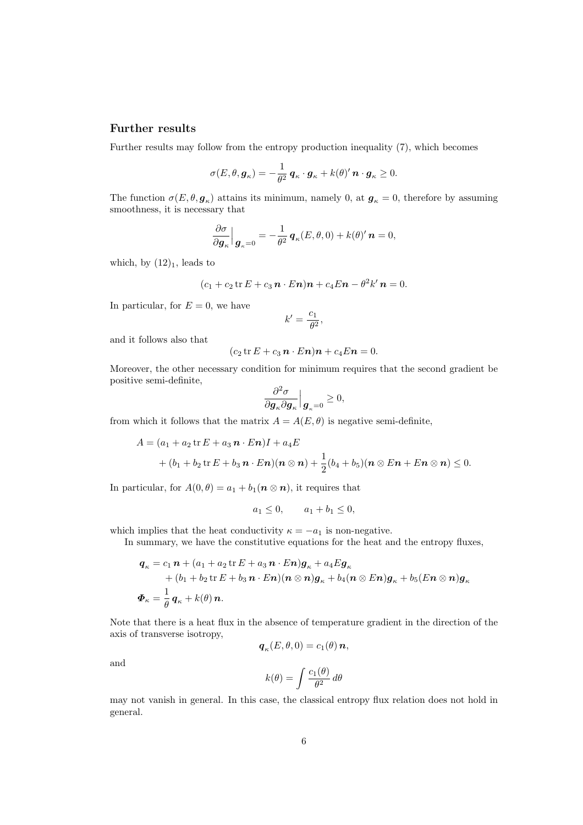#### Further results

Further results may follow from the entropy production inequality (7), which becomes

$$
\sigma(E,\theta,\boldsymbol{g}_{\kappa})=-\frac{1}{\theta^2}\,\boldsymbol{q}_{\kappa}\cdot\boldsymbol{g}_{\kappa}+k(\theta)'\,\boldsymbol{n}\cdot\boldsymbol{g}_{\kappa}\geq 0.
$$

The function  $\sigma(E, \theta, g_{\kappa})$  attains its minimum, namely 0, at  $g_{\kappa} = 0$ , therefore by assuming smoothness, it is necessary that

$$
\frac{\partial \sigma}{\partial \boldsymbol{g}_{\kappa}}\Big|_{\boldsymbol{g}_{\kappa}=0} = -\frac{1}{\theta^2} \, \boldsymbol{q}_{\kappa}(E,\theta,0) + k(\theta)' \, \boldsymbol{n} = 0,
$$

which, by  $(12)_1$ , leads to

$$
(c_1+c_2\operatorname{tr} E+c_3\mathbf{n}\cdot E\mathbf{n})\mathbf{n}+c_4E\mathbf{n}-\theta^2k'\mathbf{n}=0.
$$

In particular, for  $E = 0$ , we have

$$
k' = \frac{c_1}{\theta^2},
$$

and it follows also that

$$
(c_2 \operatorname{tr} E + c_3 \mathbf{n} \cdot E \mathbf{n}) \mathbf{n} + c_4 E \mathbf{n} = 0.
$$

Moreover, the other necessary condition for minimum requires that the second gradient be positive semi-definite,

$$
\frac{\partial^2 \sigma}{\partial \boldsymbol{g}_\kappa \partial \boldsymbol{g}_\kappa }\Big|_{\boldsymbol{g}_\kappa=0} \geq 0,
$$

from which it follows that the matrix  $A = A(E, \theta)$  is negative semi-definite,

$$
A = (a_1 + a_2 \text{ tr } E + a_3 \, \mathbf{n} \cdot E \, \mathbf{n})I + a_4 E + (b_1 + b_2 \text{ tr } E + b_3 \, \mathbf{n} \cdot E \, \mathbf{n}) (\mathbf{n} \otimes \mathbf{n}) + \frac{1}{2} (b_4 + b_5) (\mathbf{n} \otimes E \mathbf{n} + E \mathbf{n} \otimes \mathbf{n}) \leq 0.
$$

In particular, for  $A(0, \theta) = a_1 + b_1(n \otimes n)$ , it requires that

$$
a_1 \le 0
$$
,  $a_1 + b_1 \le 0$ ,

which implies that the heat conductivity  $\kappa = -a_1$  is non-negative.

In summary, we have the constitutive equations for the heat and the entropy fluxes,

$$
q_{\kappa} = c_1 \mathbf{n} + (a_1 + a_2 \operatorname{tr} E + a_3 \mathbf{n} \cdot E \mathbf{n}) \mathbf{g}_{\kappa} + a_4 E \mathbf{g}_{\kappa} + (b_1 + b_2 \operatorname{tr} E + b_3 \mathbf{n} \cdot E \mathbf{n}) (\mathbf{n} \otimes \mathbf{n}) \mathbf{g}_{\kappa} + b_4 (\mathbf{n} \otimes E \mathbf{n}) \mathbf{g}_{\kappa} + b_5 (E \mathbf{n} \otimes \mathbf{n}) \mathbf{g}_{\kappa} \n\Phi_{\kappa} = \frac{1}{\theta} \mathbf{q}_{\kappa} + k(\theta) \mathbf{n}.
$$

Note that there is a heat flux in the absence of temperature gradient in the direction of the axis of transverse isotropy,

$$
\boldsymbol{q}_{\kappa}(E,\theta,0)=c_1(\theta)\,\boldsymbol{n},
$$

and

$$
k(\theta) = \int \frac{c_1(\theta)}{\theta^2} d\theta
$$

may not vanish in general. In this case, the classical entropy flux relation does not hold in general.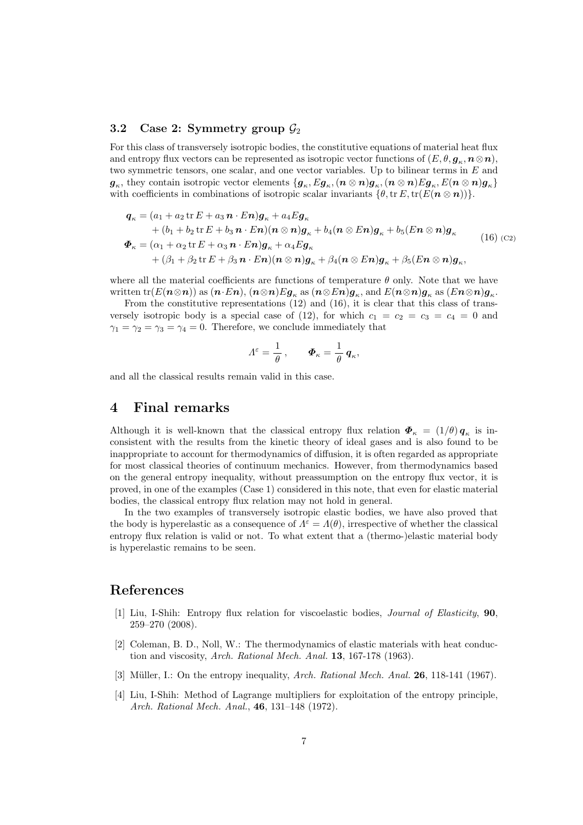#### 3.2 Case 2: Symmetry group  $\mathcal{G}_2$

For this class of transversely isotropic bodies, the constitutive equations of material heat flux and entropy flux vectors can be represented as isotropic vector functions of  $(E, \theta, \mathbf{g}_{\kappa}, \mathbf{n} \otimes \mathbf{n}),$ two symmetric tensors, one scalar, and one vector variables. Up to bilinear terms in  $E$  and  $g_\kappa$ , they contain isotropic vector elements  $\{g_\kappa, Eg_\kappa,(n\otimes n)g_\kappa,(n\otimes n)Eg_\kappa,E(n\otimes n)g_\kappa\}$ with coefficients in combinations of isotropic scalar invariants  $\{\theta, \text{tr }E, \text{tr}(E(n \otimes n))\}.$ 

$$
\mathbf{q}_{\kappa} = (a_1 + a_2 \operatorname{tr} E + a_3 \mathbf{n} \cdot E \mathbf{n}) \mathbf{g}_{\kappa} + a_4 E \mathbf{g}_{\kappa} \n+ (b_1 + b_2 \operatorname{tr} E + b_3 \mathbf{n} \cdot E \mathbf{n}) (\mathbf{n} \otimes \mathbf{n}) \mathbf{g}_{\kappa} + b_4 (\mathbf{n} \otimes E \mathbf{n}) \mathbf{g}_{\kappa} + b_5 (E \mathbf{n} \otimes \mathbf{n}) \mathbf{g}_{\kappa} \n\Phi_{\kappa} = (\alpha_1 + \alpha_2 \operatorname{tr} E + \alpha_3 \mathbf{n} \cdot E \mathbf{n}) \mathbf{g}_{\kappa} + \alpha_4 E \mathbf{g}_{\kappa} \n+ (\beta_1 + \beta_2 \operatorname{tr} E + \beta_3 \mathbf{n} \cdot E \mathbf{n}) (\mathbf{n} \otimes \mathbf{n}) \mathbf{g}_{\kappa} + \beta_4 (\mathbf{n} \otimes E \mathbf{n}) \mathbf{g}_{\kappa} + \beta_5 (E \mathbf{n} \otimes \mathbf{n}) \mathbf{g}_{\kappa},
$$
\n(16)

where all the material coefficients are functions of temperature  $\theta$  only. Note that we have written tr $(E(n\otimes n))$  as  $(n\cdot En),$   $(n\otimes n)Eq_\kappa$  as  $(n\otimes En)g_\kappa,$  and  $E(n\otimes n)g_\kappa$  as  $(En\otimes n)g_\kappa.$ 

From the constitutive representations (12) and (16), it is clear that this class of transversely isotropic body is a special case of (12), for which  $c_1 = c_2 = c_3 = c_4 = 0$  and  $\gamma_1 = \gamma_2 = \gamma_3 = \gamma_4 = 0$ . Therefore, we conclude immediately that

$$
\varLambda^\varepsilon=\frac{1}{\theta}\,,\qquad \boldsymbol{\varPhi}_\kappa=\frac{1}{\theta}\,\boldsymbol{q}_\kappa,
$$

and all the classical results remain valid in this case.

### 4 Final remarks

Although it is well-known that the classical entropy flux relation  $\Phi_{\kappa} = (1/\theta) q_{\kappa}$  is inconsistent with the results from the kinetic theory of ideal gases and is also found to be inappropriate to account for thermodynamics of diffusion, it is often regarded as appropriate for most classical theories of continuum mechanics. However, from thermodynamics based on the general entropy inequality, without preassumption on the entropy flux vector, it is proved, in one of the examples (Case 1) considered in this note, that even for elastic material bodies, the classical entropy flux relation may not hold in general.

In the two examples of transversely isotropic elastic bodies, we have also proved that the body is hyperelastic as a consequence of  $\Lambda^{\epsilon} = \Lambda(\theta)$ , irrespective of whether the classical entropy flux relation is valid or not. To what extent that a (thermo-)elastic material body is hyperelastic remains to be seen.

### References

- [1] Liu, I-Shih: Entropy flux relation for viscoelastic bodies, Journal of Elasticity, 90, 259–270 (2008).
- [2] Coleman, B. D., Noll, W.: The thermodynamics of elastic materials with heat conduction and viscosity, Arch. Rational Mech. Anal. 13, 167-178 (1963).
- [3] Müller, I.: On the entropy inequality, Arch. Rational Mech. Anal. 26, 118-141 (1967).
- [4] Liu, I-Shih: Method of Lagrange multipliers for exploitation of the entropy principle, Arch. Rational Mech. Anal., 46, 131–148 (1972).